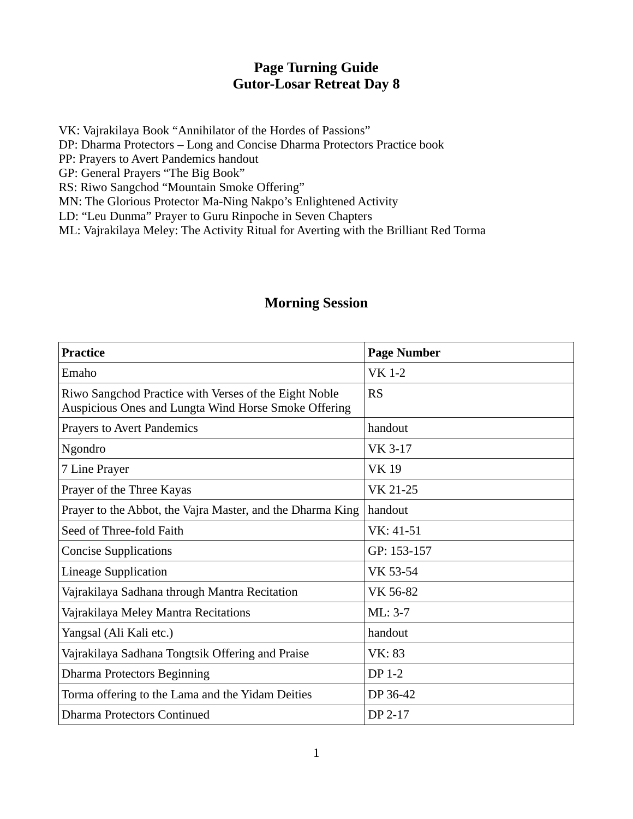## **Page Turning Guide Gutor-Losar Retreat Day 8**

VK: Vajrakilaya Book "Annihilator of the Hordes of Passions" DP: Dharma Protectors – Long and Concise Dharma Protectors Practice book PP: Prayers to Avert Pandemics handout GP: General Prayers "The Big Book" RS: Riwo Sangchod "Mountain Smoke Offering" MN: The Glorious Protector Ma-Ning Nakpo's Enlightened Activity

LD: "Leu Dunma" Prayer to Guru Rinpoche in Seven Chapters

ML: Vajrakilaya Meley: The Activity Ritual for Averting with the Brilliant Red Torma

## **Morning Session**

| <b>Practice</b>                                                                                               | <b>Page Number</b> |
|---------------------------------------------------------------------------------------------------------------|--------------------|
| Emaho                                                                                                         | <b>VK 1-2</b>      |
| Riwo Sangchod Practice with Verses of the Eight Noble<br>Auspicious Ones and Lungta Wind Horse Smoke Offering | <b>RS</b>          |
| <b>Prayers to Avert Pandemics</b>                                                                             | handout            |
| Ngondro                                                                                                       | VK 3-17            |
| 7 Line Prayer                                                                                                 | <b>VK19</b>        |
| Prayer of the Three Kayas                                                                                     | VK 21-25           |
| Prayer to the Abbot, the Vajra Master, and the Dharma King                                                    | handout            |
| Seed of Three-fold Faith                                                                                      | VK: 41-51          |
| <b>Concise Supplications</b>                                                                                  | GP: 153-157        |
| <b>Lineage Supplication</b>                                                                                   | VK 53-54           |
| Vajrakilaya Sadhana through Mantra Recitation                                                                 | VK 56-82           |
| Vajrakilaya Meley Mantra Recitations                                                                          | $ML: 3-7$          |
| Yangsal (Ali Kali etc.)                                                                                       | handout            |
| Vajrakilaya Sadhana Tongtsik Offering and Praise                                                              | VK: 83             |
| <b>Dharma Protectors Beginning</b>                                                                            | DP 1-2             |
| Torma offering to the Lama and the Yidam Deities                                                              | DP 36-42           |
| Dharma Protectors Continued                                                                                   | DP 2-17            |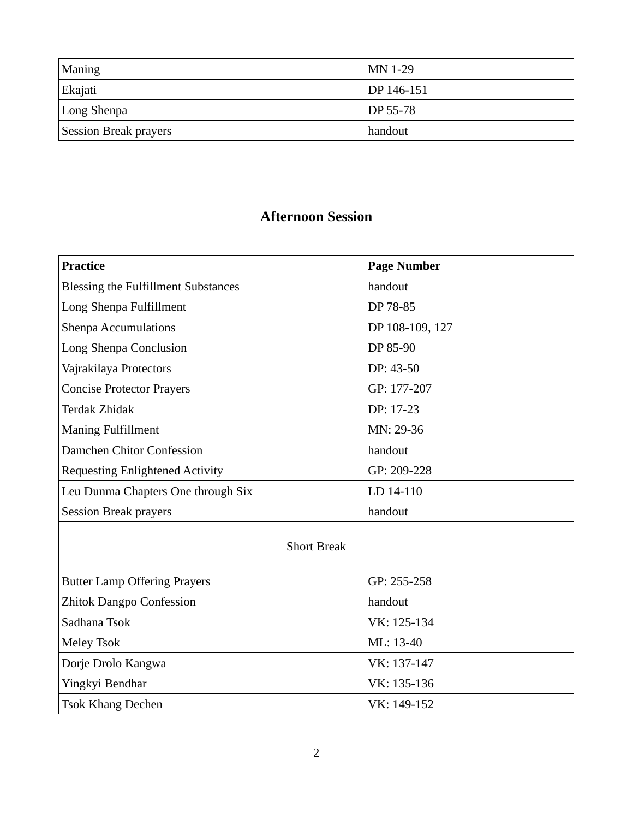| Maning                       | $MN$ 1-29             |
|------------------------------|-----------------------|
| Ekajati                      | DP 146-151            |
| Long Shenpa                  | $\overline{DP}$ 55-78 |
| <b>Session Break prayers</b> | handout               |

## **Afternoon Session**

| Practice                                   | <b>Page Number</b> |
|--------------------------------------------|--------------------|
| <b>Blessing the Fulfillment Substances</b> | handout            |
| Long Shenpa Fulfillment                    | DP 78-85           |
| <b>Shenpa Accumulations</b>                | DP 108-109, 127    |
| Long Shenpa Conclusion                     | DP 85-90           |
| Vajrakilaya Protectors                     | $DP: 43-50$        |
| <b>Concise Protector Prayers</b>           | GP: 177-207        |
| Terdak Zhidak                              | DP: 17-23          |
| <b>Maning Fulfillment</b>                  | MN: 29-36          |
| Damchen Chitor Confession                  | handout            |
| <b>Requesting Enlightened Activity</b>     | GP: 209-228        |
| Leu Dunma Chapters One through Six         | LD 14-110          |
| <b>Session Break prayers</b>               | handout            |

## Short Break

| <b>Butter Lamp Offering Prayers</b> | GP: 255-258 |
|-------------------------------------|-------------|
| <b>Zhitok Dangpo Confession</b>     | handout     |
| Sadhana Tsok                        | VK: 125-134 |
| Meley Tsok                          | ML: 13-40   |
| Dorje Drolo Kangwa                  | VK: 137-147 |
| Yingkyi Bendhar                     | VK: 135-136 |
| <b>Tsok Khang Dechen</b>            | VK: 149-152 |